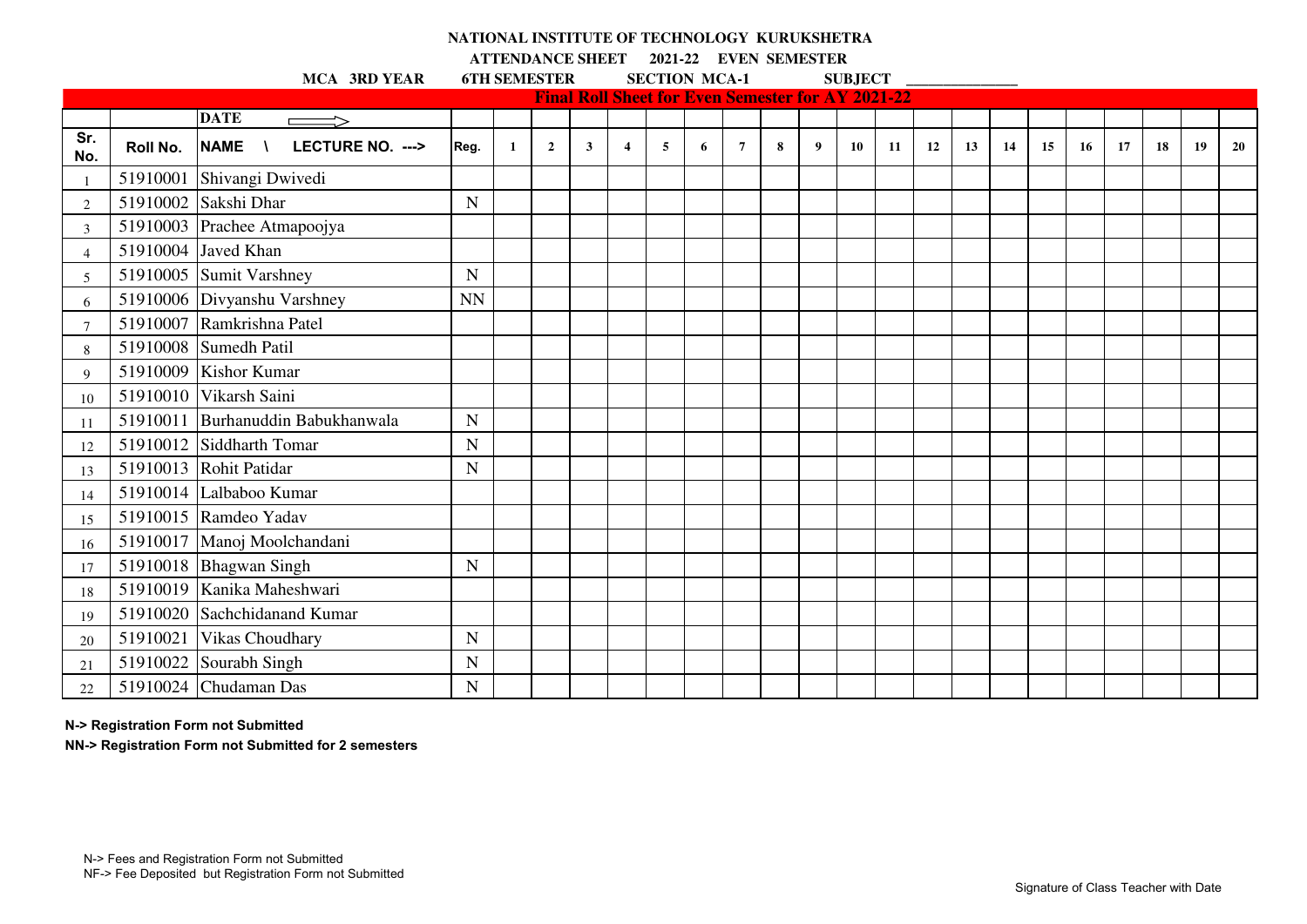## **NATIONAL INSTITUTE OF TECHNOLOGY KURUKSHETRA**

**ATTENDANCE SHEET 2021-22 EVEN SEMESTER** 

MCA 3RD YEAR 6TH SEMESTER SECTION MCA-1 SUBJECT \_\_\_\_\_\_\_\_\_\_\_\_\_\_\_\_\_\_\_\_\_\_\_\_\_\_\_\_\_\_\_\_\_

|                |          |                                   |             |              |                |              |                         |   | <b>Final Roll Sheet for Even Semester for AY 2021-22</b> |                |   |   |    |    |    |    |    |    |    |    |    |    |    |
|----------------|----------|-----------------------------------|-------------|--------------|----------------|--------------|-------------------------|---|----------------------------------------------------------|----------------|---|---|----|----|----|----|----|----|----|----|----|----|----|
|                |          | <b>DATE</b>                       |             |              |                |              |                         |   |                                                          |                |   |   |    |    |    |    |    |    |    |    |    |    |    |
| Sr.<br>No.     | Roll No. | NAME \<br>LECTURE NO. --->        | Reg.        | $\mathbf{1}$ | $\overline{2}$ | $\mathbf{3}$ | $\overline{\mathbf{4}}$ | 5 | 6                                                        | $\overline{7}$ | 8 | 9 | 10 | 11 | 12 | 13 | 14 | 15 | 16 | 17 | 18 | 19 | 20 |
|                |          | 51910001 Shivangi Dwivedi         |             |              |                |              |                         |   |                                                          |                |   |   |    |    |    |    |    |    |    |    |    |    |    |
| $\overline{c}$ |          | 51910002 Sakshi Dhar              | N           |              |                |              |                         |   |                                                          |                |   |   |    |    |    |    |    |    |    |    |    |    |    |
| 3              |          | 51910003 Prachee Atmapoojya       |             |              |                |              |                         |   |                                                          |                |   |   |    |    |    |    |    |    |    |    |    |    |    |
| 4              |          | 51910004 Javed Khan               |             |              |                |              |                         |   |                                                          |                |   |   |    |    |    |    |    |    |    |    |    |    |    |
| 5              |          | 51910005 Sumit Varshney           | $\mathbf N$ |              |                |              |                         |   |                                                          |                |   |   |    |    |    |    |    |    |    |    |    |    |    |
| 6              |          | 51910006 Divyanshu Varshney       | <b>NN</b>   |              |                |              |                         |   |                                                          |                |   |   |    |    |    |    |    |    |    |    |    |    |    |
| -7             |          | 51910007 Ramkrishna Patel         |             |              |                |              |                         |   |                                                          |                |   |   |    |    |    |    |    |    |    |    |    |    |    |
| 8              |          | 51910008 Sumedh Patil             |             |              |                |              |                         |   |                                                          |                |   |   |    |    |    |    |    |    |    |    |    |    |    |
| 9              |          | 51910009 Kishor Kumar             |             |              |                |              |                         |   |                                                          |                |   |   |    |    |    |    |    |    |    |    |    |    |    |
| 10             |          | 51910010 Vikarsh Saini            |             |              |                |              |                         |   |                                                          |                |   |   |    |    |    |    |    |    |    |    |    |    |    |
| 11             |          | 51910011 Burhanuddin Babukhanwala | N           |              |                |              |                         |   |                                                          |                |   |   |    |    |    |    |    |    |    |    |    |    |    |
| 12             |          | 51910012 Siddharth Tomar          | N           |              |                |              |                         |   |                                                          |                |   |   |    |    |    |    |    |    |    |    |    |    |    |
| 13             |          | 51910013 Rohit Patidar            | N           |              |                |              |                         |   |                                                          |                |   |   |    |    |    |    |    |    |    |    |    |    |    |
| 14             |          | 51910014 Lalbaboo Kumar           |             |              |                |              |                         |   |                                                          |                |   |   |    |    |    |    |    |    |    |    |    |    |    |
| 15             |          | 51910015 Ramdeo Yadav             |             |              |                |              |                         |   |                                                          |                |   |   |    |    |    |    |    |    |    |    |    |    |    |
| 16             |          | 51910017 Manoj Moolchandani       |             |              |                |              |                         |   |                                                          |                |   |   |    |    |    |    |    |    |    |    |    |    |    |
| 17             |          | 51910018 Bhagwan Singh            | N           |              |                |              |                         |   |                                                          |                |   |   |    |    |    |    |    |    |    |    |    |    |    |
| 18             |          | 51910019 Kanika Maheshwari        |             |              |                |              |                         |   |                                                          |                |   |   |    |    |    |    |    |    |    |    |    |    |    |
| 19             |          | 51910020 Sachchidanand Kumar      |             |              |                |              |                         |   |                                                          |                |   |   |    |    |    |    |    |    |    |    |    |    |    |
| 20             |          | 51910021 Vikas Choudhary          | N           |              |                |              |                         |   |                                                          |                |   |   |    |    |    |    |    |    |    |    |    |    |    |
| 21             |          | $51910022$ Sourabh Singh          | N           |              |                |              |                         |   |                                                          |                |   |   |    |    |    |    |    |    |    |    |    |    |    |
| 22             |          | 51910024 Chudaman Das             | N           |              |                |              |                         |   |                                                          |                |   |   |    |    |    |    |    |    |    |    |    |    |    |

**N-> Registration Form not Submitted**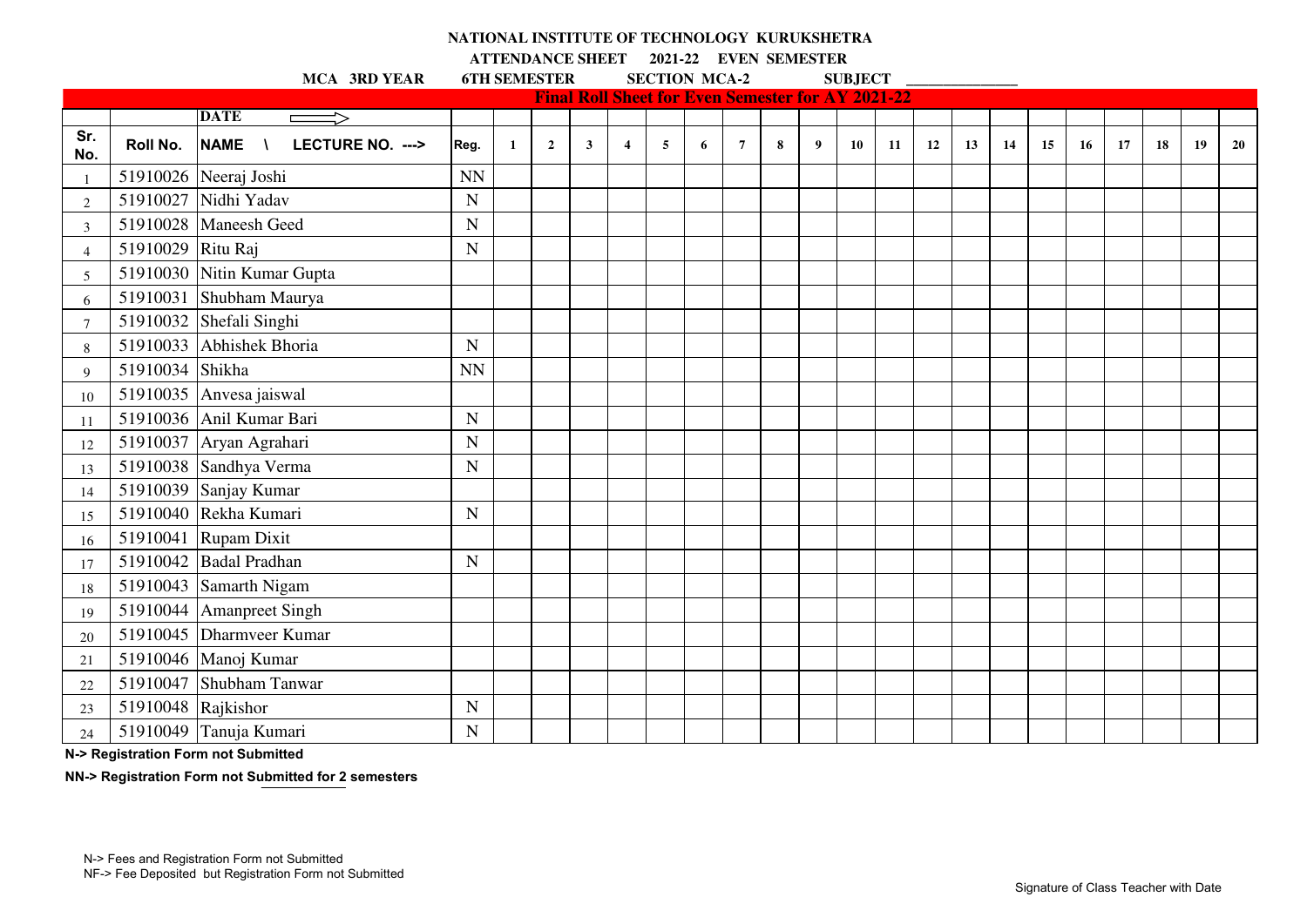## **NATIONAL INSTITUTE OF TECHNOLOGY KURUKSHETRA**

**ATTENDANCE SHEET 2021-22 EVEN SEMESTER** 

MCA 3RD YEAR 6TH SEMESTER SECTION MCA-2 SUBJECT \_\_\_\_\_\_\_\_\_\_\_\_\_\_\_\_\_\_\_\_\_\_\_\_\_\_\_\_\_\_\_\_\_\_

|                |                      |                                               |             |              |                |              |                         |   |   | <b>Final Roll Sheet for Even Semester for AY 2021-22</b> |   |   |    |    |    |    |    |    |    |    |    |    |    |
|----------------|----------------------|-----------------------------------------------|-------------|--------------|----------------|--------------|-------------------------|---|---|----------------------------------------------------------|---|---|----|----|----|----|----|----|----|----|----|----|----|
|                |                      | <b>DATE</b><br>$\implies$                     |             |              |                |              |                         |   |   |                                                          |   |   |    |    |    |    |    |    |    |    |    |    |    |
| Sr.<br>No.     | Roll No.             | <b>NAME</b><br>LECTURE NO. ---><br>$\sqrt{ }$ | Reg.        | $\mathbf{1}$ | $\overline{2}$ | $\mathbf{3}$ | $\overline{\mathbf{4}}$ | 5 | 6 | $\overline{7}$                                           | 8 | 9 | 10 | 11 | 12 | 13 | 14 | 15 | 16 | 17 | 18 | 19 | 20 |
| $\overline{1}$ |                      | 51910026 Neeraj Joshi                         | <b>NN</b>   |              |                |              |                         |   |   |                                                          |   |   |    |    |    |    |    |    |    |    |    |    |    |
| $\overline{2}$ |                      | 51910027 Nidhi Yadav                          | N           |              |                |              |                         |   |   |                                                          |   |   |    |    |    |    |    |    |    |    |    |    |    |
| 3              |                      | 51910028 Maneesh Geed                         | $\mathbf N$ |              |                |              |                         |   |   |                                                          |   |   |    |    |    |    |    |    |    |    |    |    |    |
| $\overline{4}$ | 51910029 Ritu Raj    |                                               | $\mathbf N$ |              |                |              |                         |   |   |                                                          |   |   |    |    |    |    |    |    |    |    |    |    |    |
| 5              |                      | 51910030 Nitin Kumar Gupta                    |             |              |                |              |                         |   |   |                                                          |   |   |    |    |    |    |    |    |    |    |    |    |    |
| 6              |                      | 51910031 Shubham Maurya                       |             |              |                |              |                         |   |   |                                                          |   |   |    |    |    |    |    |    |    |    |    |    |    |
| $\overline{7}$ |                      | 51910032 Shefali Singhi                       |             |              |                |              |                         |   |   |                                                          |   |   |    |    |    |    |    |    |    |    |    |    |    |
| $8\phantom{1}$ |                      | 51910033 Abhishek Bhoria                      | N           |              |                |              |                         |   |   |                                                          |   |   |    |    |    |    |    |    |    |    |    |    |    |
| 9              | 51910034 Shikha      |                                               | <b>NN</b>   |              |                |              |                         |   |   |                                                          |   |   |    |    |    |    |    |    |    |    |    |    |    |
| 10             |                      | 51910035 Anvesa jaiswal                       |             |              |                |              |                         |   |   |                                                          |   |   |    |    |    |    |    |    |    |    |    |    |    |
| 11             |                      | 51910036 Anil Kumar Bari                      | $\mathbf N$ |              |                |              |                         |   |   |                                                          |   |   |    |    |    |    |    |    |    |    |    |    |    |
| 12             |                      | 51910037 Aryan Agrahari                       | $\mathbf N$ |              |                |              |                         |   |   |                                                          |   |   |    |    |    |    |    |    |    |    |    |    |    |
| 13             |                      | 51910038 Sandhya Verma                        | N           |              |                |              |                         |   |   |                                                          |   |   |    |    |    |    |    |    |    |    |    |    |    |
| 14             |                      | 51910039 Sanjay Kumar                         |             |              |                |              |                         |   |   |                                                          |   |   |    |    |    |    |    |    |    |    |    |    |    |
| 15             |                      | 51910040 Rekha Kumari                         | $\mathbf N$ |              |                |              |                         |   |   |                                                          |   |   |    |    |    |    |    |    |    |    |    |    |    |
| 16             |                      | 51910041 Rupam Dixit                          |             |              |                |              |                         |   |   |                                                          |   |   |    |    |    |    |    |    |    |    |    |    |    |
| 17             |                      | 51910042 Badal Pradhan                        | $\mathbf N$ |              |                |              |                         |   |   |                                                          |   |   |    |    |    |    |    |    |    |    |    |    |    |
| 18             |                      | 51910043 Samarth Nigam                        |             |              |                |              |                         |   |   |                                                          |   |   |    |    |    |    |    |    |    |    |    |    |    |
| 19             |                      | 51910044   Amanpreet Singh                    |             |              |                |              |                         |   |   |                                                          |   |   |    |    |    |    |    |    |    |    |    |    |    |
| 20             |                      | 51910045 Dharmveer Kumar                      |             |              |                |              |                         |   |   |                                                          |   |   |    |    |    |    |    |    |    |    |    |    |    |
| 21             |                      | 51910046 Manoj Kumar                          |             |              |                |              |                         |   |   |                                                          |   |   |    |    |    |    |    |    |    |    |    |    |    |
| 22             |                      | 51910047 Shubham Tanwar                       |             |              |                |              |                         |   |   |                                                          |   |   |    |    |    |    |    |    |    |    |    |    |    |
| 23             | 51910048 $Rajkishor$ |                                               | $\mathbf N$ |              |                |              |                         |   |   |                                                          |   |   |    |    |    |    |    |    |    |    |    |    |    |
| 24             |                      | 51910049 Tanuja Kumari                        | N           |              |                |              |                         |   |   |                                                          |   |   |    |    |    |    |    |    |    |    |    |    |    |

**N-> Registration Form not Submitted**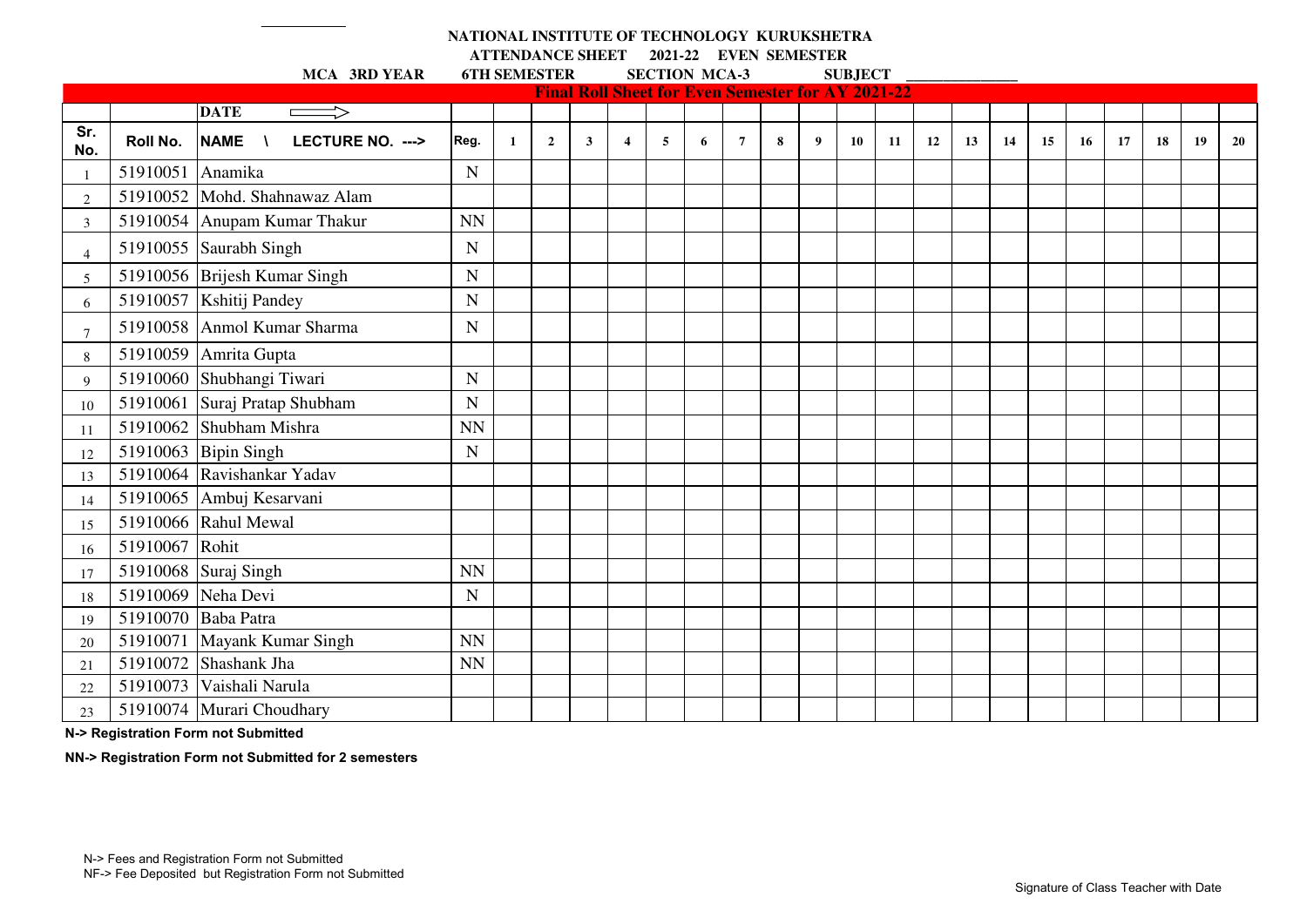## **NATIONAL INSTITUTE OF TECHNOLOGY KURUKSHETRA ATTENDANCE SHEET 2021-22 EVEN SEMESTER**

|                |                  | MCA 3RD YEAR                  | <b>6TH SEMESTER</b> |              |                |              |                                                          | <b>SECTION MCA-3</b> |   |                |   |   | <b>SUBJECT</b> |    |    |    |    |    |    |    |    |           |           |
|----------------|------------------|-------------------------------|---------------------|--------------|----------------|--------------|----------------------------------------------------------|----------------------|---|----------------|---|---|----------------|----|----|----|----|----|----|----|----|-----------|-----------|
|                |                  |                               |                     |              |                |              | <b>Final Roll Sheet for Even Semester for AY 2021-22</b> |                      |   |                |   |   |                |    |    |    |    |    |    |    |    |           |           |
|                |                  | <b>DATE</b><br>$\implies$     |                     |              |                |              |                                                          |                      |   |                |   |   |                |    |    |    |    |    |    |    |    |           |           |
| Sr.<br>No.     | Roll No.         | NAME \<br>LECTURE NO. --->    | Reg.                | $\mathbf{1}$ | $\overline{2}$ | $\mathbf{3}$ | $\overline{\mathbf{4}}$                                  | 5                    | 6 | $\overline{7}$ | 8 | 9 | 10             | 11 | 12 | 13 | 14 | 15 | 16 | 17 | 18 | <b>19</b> | <b>20</b> |
|                | 51910051 Anamika |                               | $\mathbf N$         |              |                |              |                                                          |                      |   |                |   |   |                |    |    |    |    |    |    |    |    |           |           |
| $\overline{2}$ |                  | 51910052 Mohd. Shahnawaz Alam |                     |              |                |              |                                                          |                      |   |                |   |   |                |    |    |    |    |    |    |    |    |           |           |
| 3              |                  | 51910054 Anupam Kumar Thakur  | <b>NN</b>           |              |                |              |                                                          |                      |   |                |   |   |                |    |    |    |    |    |    |    |    |           |           |
| $\overline{4}$ |                  | 51910055 Saurabh Singh        | N                   |              |                |              |                                                          |                      |   |                |   |   |                |    |    |    |    |    |    |    |    |           |           |
| 5              |                  | 51910056 Brijesh Kumar Singh  | $\mathbf N$         |              |                |              |                                                          |                      |   |                |   |   |                |    |    |    |    |    |    |    |    |           |           |
| 6              |                  | 51910057 Kshitij Pandey       | N                   |              |                |              |                                                          |                      |   |                |   |   |                |    |    |    |    |    |    |    |    |           |           |
| 7              |                  | 51910058 Anmol Kumar Sharma   | N                   |              |                |              |                                                          |                      |   |                |   |   |                |    |    |    |    |    |    |    |    |           |           |
| 8              |                  | 51910059 Amrita Gupta         |                     |              |                |              |                                                          |                      |   |                |   |   |                |    |    |    |    |    |    |    |    |           |           |
| 9              |                  | 51910060 Shubhangi Tiwari     | N                   |              |                |              |                                                          |                      |   |                |   |   |                |    |    |    |    |    |    |    |    |           |           |
| 10             |                  | 51910061 Suraj Pratap Shubham | $\mathbf N$         |              |                |              |                                                          |                      |   |                |   |   |                |    |    |    |    |    |    |    |    |           |           |
| 11             |                  | 51910062 Shubham Mishra       | <b>NN</b>           |              |                |              |                                                          |                      |   |                |   |   |                |    |    |    |    |    |    |    |    |           |           |
| 12             |                  | 51910063 Bipin Singh          | $\mathbf N$         |              |                |              |                                                          |                      |   |                |   |   |                |    |    |    |    |    |    |    |    |           |           |
| 13             |                  | 51910064 Ravishankar Yadav    |                     |              |                |              |                                                          |                      |   |                |   |   |                |    |    |    |    |    |    |    |    |           |           |
| 14             |                  | 51910065 Ambuj Kesarvani      |                     |              |                |              |                                                          |                      |   |                |   |   |                |    |    |    |    |    |    |    |    |           |           |
| 15             |                  | 51910066 Rahul Mewal          |                     |              |                |              |                                                          |                      |   |                |   |   |                |    |    |    |    |    |    |    |    |           |           |
| 16             | 51910067 Rohit   |                               |                     |              |                |              |                                                          |                      |   |                |   |   |                |    |    |    |    |    |    |    |    |           |           |
| 17             |                  | 51910068 Suraj Singh          | <b>NN</b>           |              |                |              |                                                          |                      |   |                |   |   |                |    |    |    |    |    |    |    |    |           |           |
| 18             |                  | 51910069 Neha Devi            | $\mathbf N$         |              |                |              |                                                          |                      |   |                |   |   |                |    |    |    |    |    |    |    |    |           |           |
| 19             |                  | 51910070 Baba Patra           |                     |              |                |              |                                                          |                      |   |                |   |   |                |    |    |    |    |    |    |    |    |           |           |
| 20             |                  | 51910071 Mayank Kumar Singh   | <b>NN</b>           |              |                |              |                                                          |                      |   |                |   |   |                |    |    |    |    |    |    |    |    |           |           |
| 21             |                  | 51910072 Shashank Jha         | <b>NN</b>           |              |                |              |                                                          |                      |   |                |   |   |                |    |    |    |    |    |    |    |    |           |           |
| 22             | 51910073         | Vaishali Narula               |                     |              |                |              |                                                          |                      |   |                |   |   |                |    |    |    |    |    |    |    |    |           |           |
| 23             |                  | 51910074 Murari Choudhary     |                     |              |                |              |                                                          |                      |   |                |   |   |                |    |    |    |    |    |    |    |    |           |           |

**N-> Registration Form not Submitted**